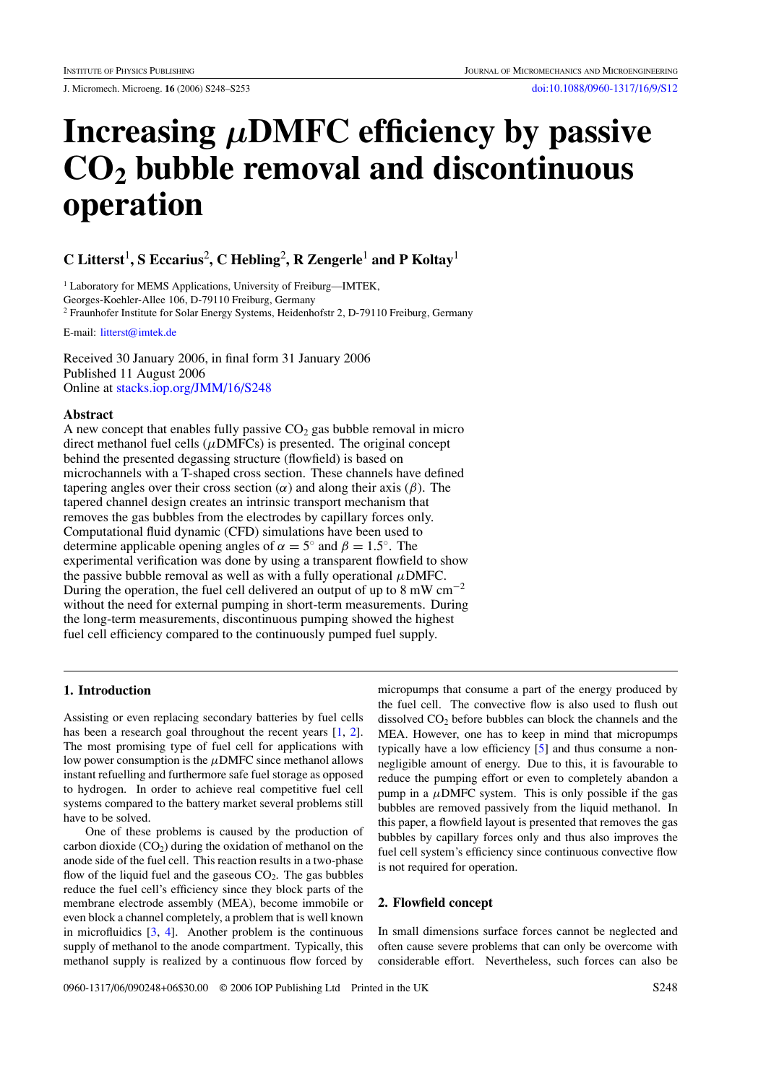# **Increasing** *µ***DMFC efficiency by passive CO2 bubble removal and discontinuous operation**

**C** Litterst<sup>1</sup>, S Eccarius<sup>2</sup>, C Hebling<sup>2</sup>, R Zengerle<sup>1</sup> and P Koltay<sup>1</sup>

<sup>1</sup> Laboratory for MEMS Applications, University of Freiburg-IMTEK, Georges-Koehler-Allee 106, D-79110 Freiburg, Germany <sup>2</sup> Fraunhofer Institute for Solar Energy Systems, Heidenhofstr 2, D-79110 Freiburg, Germany

E-mail: [litterst@imtek.de](mailto:litterst@imtek.de)

Received 30 January 2006, in final form 31 January 2006 Published 11 August 2006 Online at [stacks.iop.org/JMM/16/S248](http://stacks.iop.org/JMM/16/S248)

# **Abstract**

A new concept that enables fully passive  $CO<sub>2</sub>$  gas bubble removal in micro direct methanol fuel cells (*µ*DMFCs) is presented. The original concept behind the presented degassing structure (flowfield) is based on microchannels with a T-shaped cross section. These channels have defined tapering angles over their cross section  $(\alpha)$  and along their axis  $(\beta)$ . The tapered channel design creates an intrinsic transport mechanism that removes the gas bubbles from the electrodes by capillary forces only. Computational fluid dynamic (CFD) simulations have been used to determine applicable opening angles of  $\alpha = 5^\circ$  and  $\beta = 1.5^\circ$ . The experimental verification was done by using a transparent flowfield to show the passive bubble removal as well as with a fully operational  $\mu$ DMFC. During the operation, the fuel cell delivered an output of up to 8 mW cm−<sup>2</sup> without the need for external pumping in short-term measurements. During the long-term measurements, discontinuous pumping showed the highest fuel cell efficiency compared to the continuously pumped fuel supply.

### **1. Introduction**

Assisting or even replacing secondary batteries by fuel cells has been a research goal throughout the recent years [\[1](#page-5-0), [2\]](#page-5-0). The most promising type of fuel cell for applications with low power consumption is the *µ*DMFC since methanol allows instant refuelling and furthermore safe fuel storage as opposed to hydrogen. In order to achieve real competitive fuel cell systems compared to the battery market several problems still have to be solved.

One of these problems is caused by the production of carbon dioxide  $(CO_2)$  during the oxidation of methanol on the anode side of the fuel cell. This reaction results in a two-phase flow of the liquid fuel and the gaseous  $CO<sub>2</sub>$ . The gas bubbles reduce the fuel cell's efficiency since they block parts of the membrane electrode assembly (MEA), become immobile or even block a channel completely, a problem that is well known in microfluidics [\[3,](#page-5-0) [4\]](#page-5-0). Another problem is the continuous supply of methanol to the anode compartment. Typically, this methanol supply is realized by a continuous flow forced by

micropumps that consume a part of the energy produced by the fuel cell. The convective flow is also used to flush out dissolved  $CO<sub>2</sub>$  before bubbles can block the channels and the MEA. However, one has to keep in mind that micropumps typically have a low efficiency [\[5](#page-5-0)] and thus consume a nonnegligible amount of energy. Due to this, it is favourable to reduce the pumping effort or even to completely abandon a pump in a  $\mu$ DMFC system. This is only possible if the gas bubbles are removed passively from the liquid methanol. In this paper, a flowfield layout is presented that removes the gas bubbles by capillary forces only and thus also improves the fuel cell system's efficiency since continuous convective flow is not required for operation.

### **2. Flowfield concept**

In small dimensions surface forces cannot be neglected and often cause severe problems that can only be overcome with considerable effort. Nevertheless, such forces can also be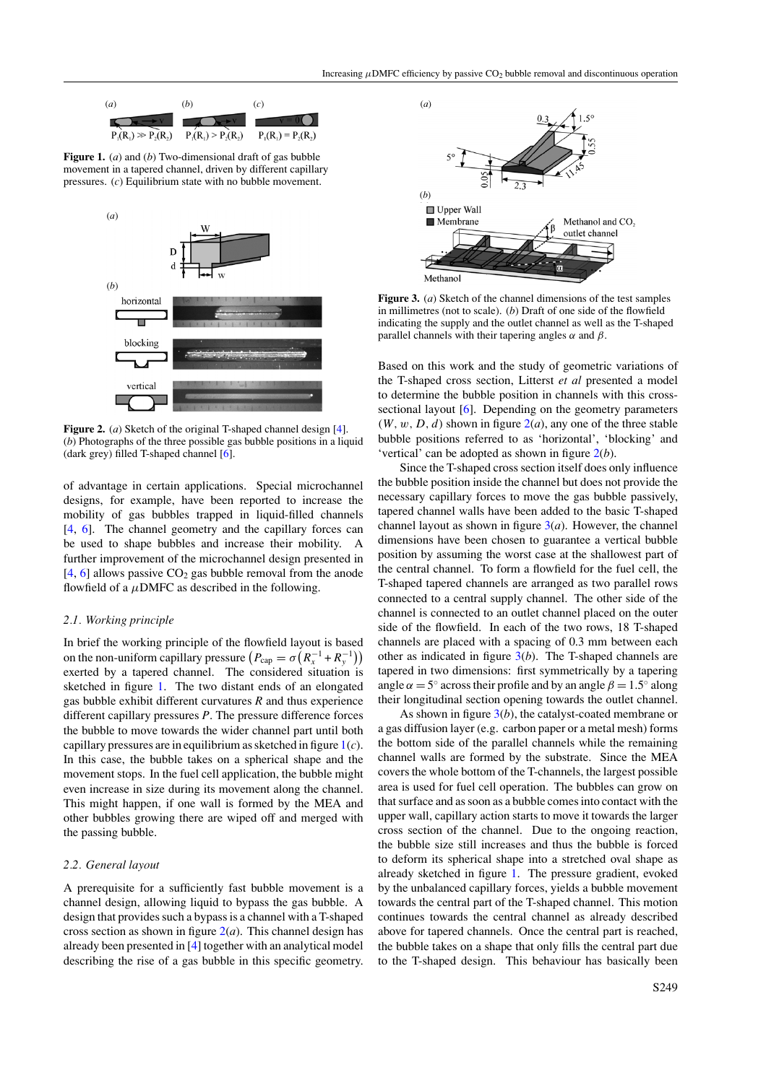<span id="page-1-0"></span>

**Figure 1.** (*a*) and (*b*) Two-dimensional draft of gas bubble movement in a tapered channel, driven by different capillary pressures. (*c*) Equilibrium state with no bubble movement.



**Figure 2.** (*a*) Sketch of the original T-shaped channel design [\[4\]](#page-5-0). (*b*) Photographs of the three possible gas bubble positions in a liquid (dark grey) filled T-shaped channel [\[6\]](#page-5-0).

of advantage in certain applications. Special microchannel designs, for example, have been reported to increase the mobility of gas bubbles trapped in liquid-filled channels [\[4](#page-5-0), [6](#page-5-0)]. The channel geometry and the capillary forces can be used to shape bubbles and increase their mobility. A further improvement of the microchannel design presented in  $[4, 6]$  $[4, 6]$  $[4, 6]$  allows passive CO<sub>2</sub> gas bubble removal from the anode flowfield of a  $\mu$ DMFC as described in the following.

#### *2.1. Working principle*

In brief the working principle of the flowfield layout is based on the non-uniform capillary pressure  $(P_{cap} = \sigma (R_x^{-1} + R_y^{-1}))$ exerted by a tapered channel. The considered situation is sketched in figure 1. The two distant ends of an elongated gas bubble exhibit different curvatures *R* and thus experience different capillary pressures *P*. The pressure difference forces the bubble to move towards the wider channel part until both capillary pressures are in equilibrium as sketched in figure 1(*c*). In this case, the bubble takes on a spherical shape and the movement stops. In the fuel cell application, the bubble might even increase in size during its movement along the channel. This might happen, if one wall is formed by the MEA and other bubbles growing there are wiped off and merged with the passing bubble.

#### *2.2. General layout*

A prerequisite for a sufficiently fast bubble movement is a channel design, allowing liquid to bypass the gas bubble. A design that provides such a bypass is a channel with a T-shaped cross section as shown in figure  $2(a)$ . This channel design has already been presented in [\[4](#page-5-0)] together with an analytical model describing the rise of a gas bubble in this specific geometry.



**Figure 3.** (*a*) Sketch of the channel dimensions of the test samples in millimetres (not to scale). (*b*) Draft of one side of the flowfield indicating the supply and the outlet channel as well as the T-shaped parallel channels with their tapering angles *α* and *β*.

Based on this work and the study of geometric variations of the T-shaped cross section, Litterst *et al* presented a model to determine the bubble position in channels with this cross-sectional layout [\[6\]](#page-5-0). Depending on the geometry parameters  $(W, w, D, d)$  shown in figure  $2(a)$ , any one of the three stable bubble positions referred to as 'horizontal', 'blocking' and 'vertical' can be adopted as shown in figure 2(*b*).

Since the T-shaped cross section itself does only influence the bubble position inside the channel but does not provide the necessary capillary forces to move the gas bubble passively, tapered channel walls have been added to the basic T-shaped channel layout as shown in figure  $3(a)$ . However, the channel dimensions have been chosen to guarantee a vertical bubble position by assuming the worst case at the shallowest part of the central channel. To form a flowfield for the fuel cell, the T-shaped tapered channels are arranged as two parallel rows connected to a central supply channel. The other side of the channel is connected to an outlet channel placed on the outer side of the flowfield. In each of the two rows, 18 T-shaped channels are placed with a spacing of 0.3 mm between each other as indicated in figure 3(*b*). The T-shaped channels are tapered in two dimensions: first symmetrically by a tapering angle  $\alpha = 5^\circ$  across their profile and by an angle  $\beta = 1.5^\circ$  along their longitudinal section opening towards the outlet channel.

As shown in figure 3(*b*), the catalyst-coated membrane or a gas diffusion layer (e.g. carbon paper or a metal mesh) forms the bottom side of the parallel channels while the remaining channel walls are formed by the substrate. Since the MEA covers the whole bottom of the T-channels, the largest possible area is used for fuel cell operation. The bubbles can grow on that surface and as soon as a bubble comes into contact with the upper wall, capillary action starts to move it towards the larger cross section of the channel. Due to the ongoing reaction, the bubble size still increases and thus the bubble is forced to deform its spherical shape into a stretched oval shape as already sketched in figure 1. The pressure gradient, evoked by the unbalanced capillary forces, yields a bubble movement towards the central part of the T-shaped channel. This motion continues towards the central channel as already described above for tapered channels. Once the central part is reached, the bubble takes on a shape that only fills the central part due to the T-shaped design. This behaviour has basically been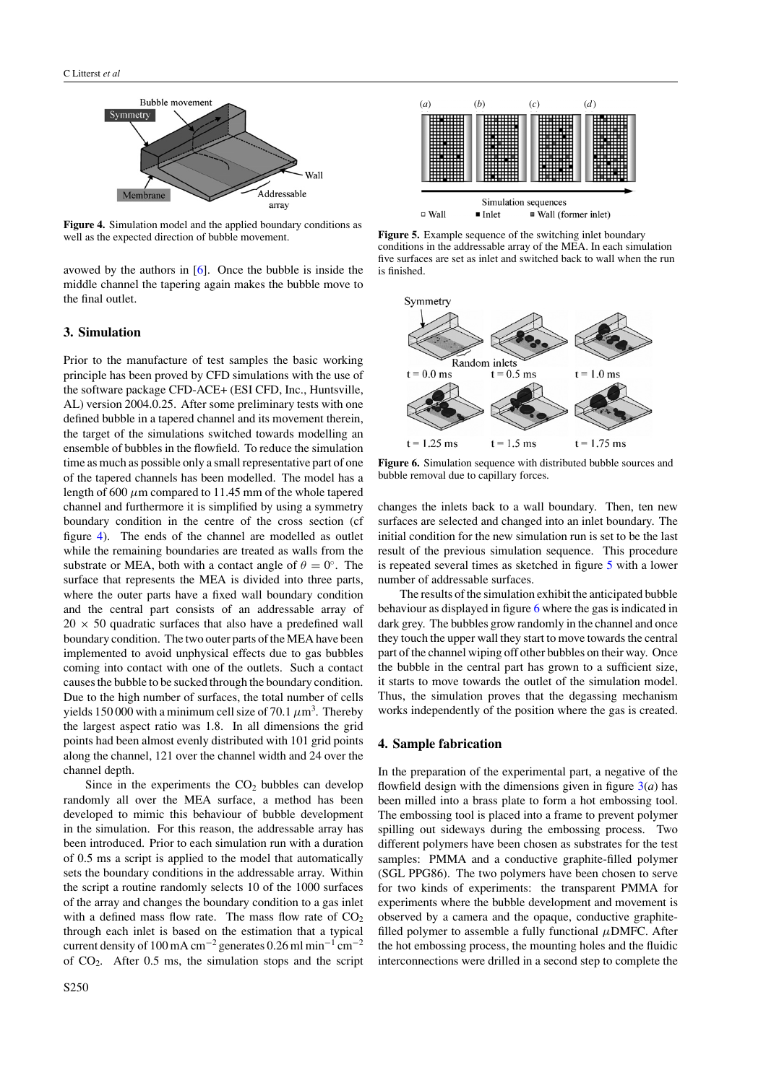

**Figure 4.** Simulation model and the applied boundary conditions as well as the expected direction of bubble movement.

avowed by the authors in [\[6\]](#page-5-0). Once the bubble is inside the middle channel the tapering again makes the bubble move to the final outlet.

## **3. Simulation**

Prior to the manufacture of test samples the basic working principle has been proved by CFD simulations with the use of the software package CFD-ACE+ (ESI CFD, Inc., Huntsville, AL) version 2004.0.25. After some preliminary tests with one defined bubble in a tapered channel and its movement therein, the target of the simulations switched towards modelling an ensemble of bubbles in the flowfield. To reduce the simulation time as much as possible only a small representative part of one of the tapered channels has been modelled. The model has a length of 600  $\mu$ m compared to 11.45 mm of the whole tapered channel and furthermore it is simplified by using a symmetry boundary condition in the centre of the cross section (cf figure 4). The ends of the channel are modelled as outlet while the remaining boundaries are treated as walls from the substrate or MEA, both with a contact angle of  $\theta = 0^\circ$ . The surface that represents the MEA is divided into three parts, where the outer parts have a fixed wall boundary condition and the central part consists of an addressable array of  $20 \times 50$  quadratic surfaces that also have a predefined wall boundary condition. The two outer parts of the MEA have been implemented to avoid unphysical effects due to gas bubbles coming into contact with one of the outlets. Such a contact causes the bubble to be sucked through the boundary condition. Due to the high number of surfaces, the total number of cells yields 150 000 with a minimum cell size of 70.1  $\mu$ m<sup>3</sup>. Thereby the largest aspect ratio was 1.8. In all dimensions the grid points had been almost evenly distributed with 101 grid points along the channel, 121 over the channel width and 24 over the channel depth.

Since in the experiments the  $CO<sub>2</sub>$  bubbles can develop randomly all over the MEA surface, a method has been developed to mimic this behaviour of bubble development in the simulation. For this reason, the addressable array has been introduced. Prior to each simulation run with a duration of 0.5 ms a script is applied to the model that automatically sets the boundary conditions in the addressable array. Within the script a routine randomly selects 10 of the 1000 surfaces of the array and changes the boundary condition to a gas inlet with a defined mass flow rate. The mass flow rate of  $CO<sub>2</sub>$ through each inlet is based on the estimation that a typical current density of 100 mA cm<sup>-2</sup> generates 0.26 ml min<sup>-1</sup> cm<sup>-2</sup> of  $CO<sub>2</sub>$ . After 0.5 ms, the simulation stops and the script



**Figure 5.** Example sequence of the switching inlet boundary conditions in the addressable array of the MEA. In each simulation five surfaces are set as inlet and switched back to wall when the run is finished.



**Figure 6.** Simulation sequence with distributed bubble sources and bubble removal due to capillary forces.

changes the inlets back to a wall boundary. Then, ten new surfaces are selected and changed into an inlet boundary. The initial condition for the new simulation run is set to be the last result of the previous simulation sequence. This procedure is repeated several times as sketched in figure 5 with a lower number of addressable surfaces.

The results of the simulation exhibit the anticipated bubble behaviour as displayed in figure 6 where the gas is indicated in dark grey. The bubbles grow randomly in the channel and once they touch the upper wall they start to move towards the central part of the channel wiping off other bubbles on their way. Once the bubble in the central part has grown to a sufficient size, it starts to move towards the outlet of the simulation model. Thus, the simulation proves that the degassing mechanism works independently of the position where the gas is created.

### **4. Sample fabrication**

In the preparation of the experimental part, a negative of the flowfield design with the dimensions given in figure  $3(a)$  $3(a)$  has been milled into a brass plate to form a hot embossing tool. The embossing tool is placed into a frame to prevent polymer spilling out sideways during the embossing process. Two different polymers have been chosen as substrates for the test samples: PMMA and a conductive graphite-filled polymer (SGL PPG86). The two polymers have been chosen to serve for two kinds of experiments: the transparent PMMA for experiments where the bubble development and movement is observed by a camera and the opaque, conductive graphitefilled polymer to assemble a fully functional *µ*DMFC. After the hot embossing process, the mounting holes and the fluidic interconnections were drilled in a second step to complete the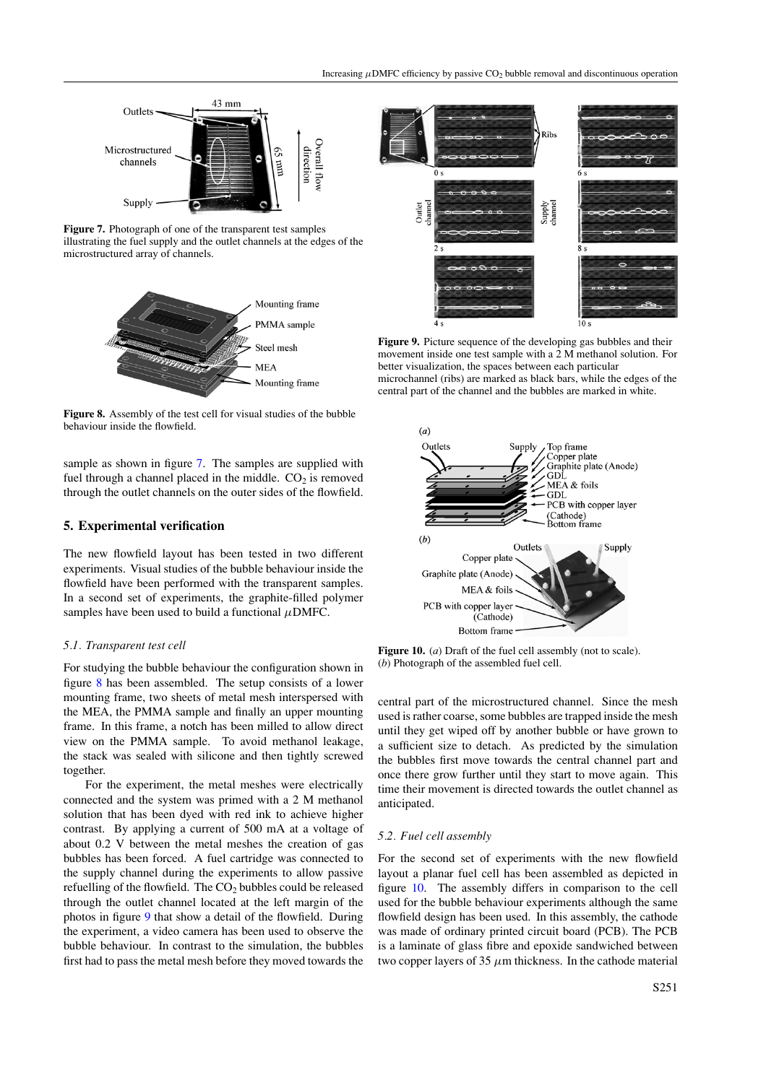

**Figure 7.** Photograph of one of the transparent test samples illustrating the fuel supply and the outlet channels at the edges of the microstructured array of channels.



**Figure 8.** Assembly of the test cell for visual studies of the bubble behaviour inside the flowfield.

sample as shown in figure 7. The samples are supplied with fuel through a channel placed in the middle.  $CO<sub>2</sub>$  is removed through the outlet channels on the outer sides of the flowfield.

### **5. Experimental verification**

The new flowfield layout has been tested in two different experiments. Visual studies of the bubble behaviour inside the flowfield have been performed with the transparent samples. In a second set of experiments, the graphite-filled polymer samples have been used to build a functional  $\mu$ DMFC.

#### *5.1. Transparent test cell*

For studying the bubble behaviour the configuration shown in figure 8 has been assembled. The setup consists of a lower mounting frame, two sheets of metal mesh interspersed with the MEA, the PMMA sample and finally an upper mounting frame. In this frame, a notch has been milled to allow direct view on the PMMA sample. To avoid methanol leakage, the stack was sealed with silicone and then tightly screwed together.

For the experiment, the metal meshes were electrically connected and the system was primed with a 2 M methanol solution that has been dyed with red ink to achieve higher contrast. By applying a current of 500 mA at a voltage of about 0.2 V between the metal meshes the creation of gas bubbles has been forced. A fuel cartridge was connected to the supply channel during the experiments to allow passive refuelling of the flowfield. The  $CO<sub>2</sub>$  bubbles could be released through the outlet channel located at the left margin of the photos in figure 9 that show a detail of the flowfield. During the experiment, a video camera has been used to observe the bubble behaviour. In contrast to the simulation, the bubbles first had to pass the metal mesh before they moved towards the



**Figure 9.** Picture sequence of the developing gas bubbles and their movement inside one test sample with a 2 M methanol solution. For better visualization, the spaces between each particular microchannel (ribs) are marked as black bars, while the edges of the central part of the channel and the bubbles are marked in white.



**Figure 10.** (*a*) Draft of the fuel cell assembly (not to scale). (*b*) Photograph of the assembled fuel cell.

central part of the microstructured channel. Since the mesh used is rather coarse, some bubbles are trapped inside the mesh until they get wiped off by another bubble or have grown to a sufficient size to detach. As predicted by the simulation the bubbles first move towards the central channel part and once there grow further until they start to move again. This time their movement is directed towards the outlet channel as anticipated.

#### *5.2. Fuel cell assembly*

For the second set of experiments with the new flowfield layout a planar fuel cell has been assembled as depicted in figure 10. The assembly differs in comparison to the cell used for the bubble behaviour experiments although the same flowfield design has been used. In this assembly, the cathode was made of ordinary printed circuit board (PCB). The PCB is a laminate of glass fibre and epoxide sandwiched between two copper layers of 35 *µ*m thickness. In the cathode material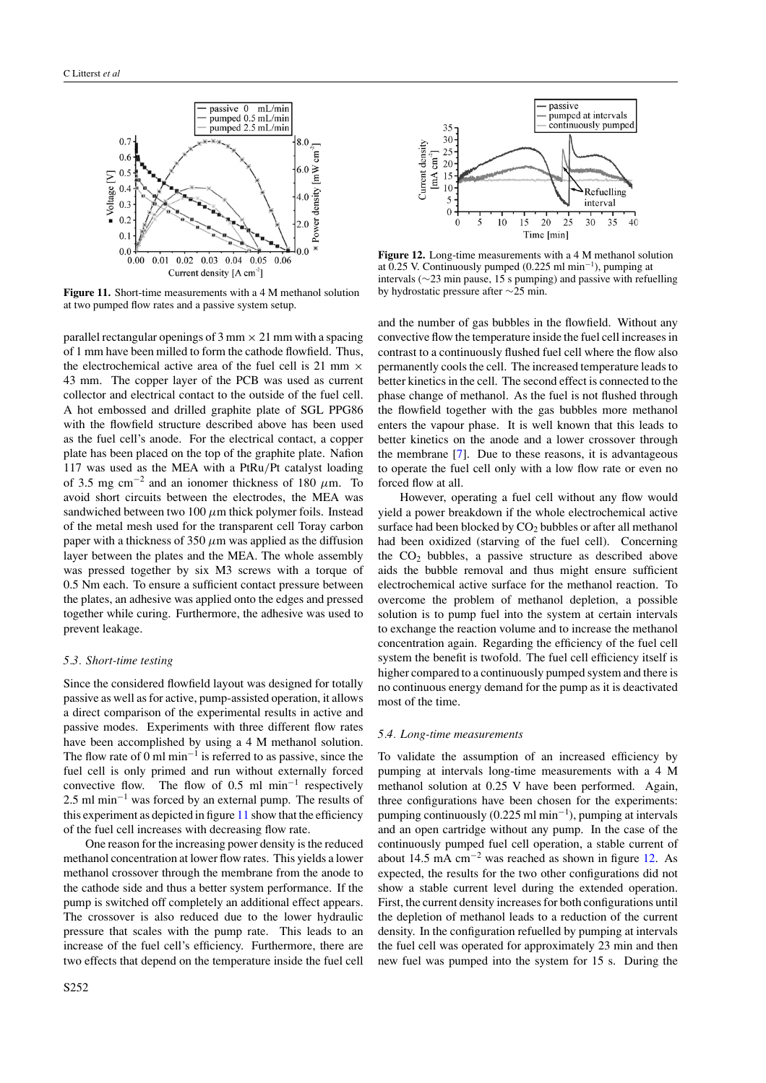

**Figure 11.** Short-time measurements with a 4 M methanol solution at two pumped flow rates and a passive system setup.

parallel rectangular openings of  $3 \text{ mm} \times 21 \text{ mm}$  with a spacing of 1 mm have been milled to form the cathode flowfield. Thus, the electrochemical active area of the fuel cell is 21 mm  $\times$ 43 mm. The copper layer of the PCB was used as current collector and electrical contact to the outside of the fuel cell. A hot embossed and drilled graphite plate of SGL PPG86 with the flowfield structure described above has been used as the fuel cell's anode. For the electrical contact, a copper plate has been placed on the top of the graphite plate. Nafion 117 was used as the MEA with a PtRu*/*Pt catalyst loading of 3.5 mg cm<sup>-2</sup> and an ionomer thickness of 180  $\mu$ m. To avoid short circuits between the electrodes, the MEA was sandwiched between two 100  $\mu$ m thick polymer foils. Instead of the metal mesh used for the transparent cell Toray carbon paper with a thickness of 350  $\mu$ m was applied as the diffusion layer between the plates and the MEA. The whole assembly was pressed together by six M3 screws with a torque of 0.5 Nm each. To ensure a sufficient contact pressure between the plates, an adhesive was applied onto the edges and pressed together while curing. Furthermore, the adhesive was used to prevent leakage.

## *5.3. Short-time testing*

Since the considered flowfield layout was designed for totally passive as well as for active, pump-assisted operation, it allows a direct comparison of the experimental results in active and passive modes. Experiments with three different flow rates have been accomplished by using a 4 M methanol solution. The flow rate of  $0 \text{ ml min}^{-1}$  is referred to as passive, since the fuel cell is only primed and run without externally forced convective flow. The flow of 0.5 ml min<sup>-1</sup> respectively 2.5 ml min<sup>-1</sup> was forced by an external pump. The results of this experiment as depicted in figure  $11$  show that the efficiency of the fuel cell increases with decreasing flow rate.

One reason for the increasing power density is the reduced methanol concentration at lower flow rates. This yields a lower methanol crossover through the membrane from the anode to the cathode side and thus a better system performance. If the pump is switched off completely an additional effect appears. The crossover is also reduced due to the lower hydraulic pressure that scales with the pump rate. This leads to an increase of the fuel cell's efficiency. Furthermore, there are two effects that depend on the temperature inside the fuel cell



**Figure 12.** Long-time measurements with a 4 M methanol solution at 0.25 V. Continuously pumped (0.225 ml min−<sup>1</sup> ), pumping at intervals (∼23 min pause, 15 s pumping) and passive with refuelling by hydrostatic pressure after ∼25 min.

and the number of gas bubbles in the flowfield. Without any convective flow the temperature inside the fuel cell increases in contrast to a continuously flushed fuel cell where the flow also permanently cools the cell. The increased temperature leads to better kinetics in the cell. The second effect is connected to the phase change of methanol. As the fuel is not flushed through the flowfield together with the gas bubbles more methanol enters the vapour phase. It is well known that this leads to better kinetics on the anode and a lower crossover through the membrane [\[7](#page-5-0)]. Due to these reasons, it is advantageous to operate the fuel cell only with a low flow rate or even no forced flow at all.

However, operating a fuel cell without any flow would yield a power breakdown if the whole electrochemical active surface had been blocked by  $CO<sub>2</sub>$  bubbles or after all methanol had been oxidized (starving of the fuel cell). Concerning the  $CO<sub>2</sub>$  bubbles, a passive structure as described above aids the bubble removal and thus might ensure sufficient electrochemical active surface for the methanol reaction. To overcome the problem of methanol depletion, a possible solution is to pump fuel into the system at certain intervals to exchange the reaction volume and to increase the methanol concentration again. Regarding the efficiency of the fuel cell system the benefit is twofold. The fuel cell efficiency itself is higher compared to a continuously pumped system and there is no continuous energy demand for the pump as it is deactivated most of the time.

#### *5.4. Long-time measurements*

To validate the assumption of an increased efficiency by pumping at intervals long-time measurements with a 4 M methanol solution at 0.25 V have been performed. Again, three configurations have been chosen for the experiments: pumping continuously (0.225 ml min−<sup>1</sup> ), pumping at intervals and an open cartridge without any pump. In the case of the continuously pumped fuel cell operation, a stable current of about 14.5 mA cm−<sup>2</sup> was reached as shown in figure 12. As expected, the results for the two other configurations did not show a stable current level during the extended operation. First, the current density increases for both configurations until the depletion of methanol leads to a reduction of the current density. In the configuration refuelled by pumping at intervals the fuel cell was operated for approximately 23 min and then new fuel was pumped into the system for 15 s. During the